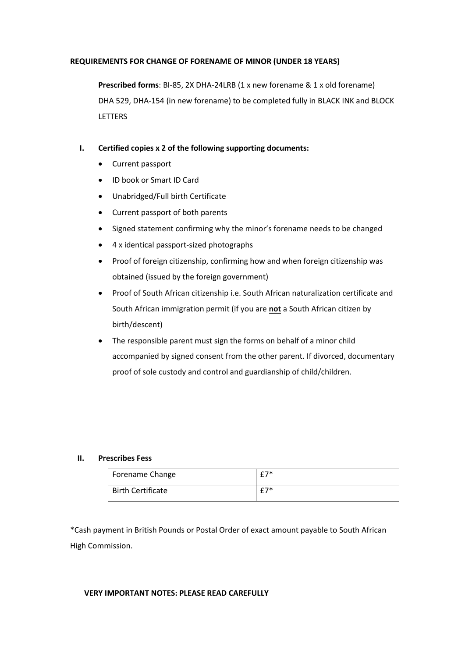# **REQUIREMENTS FOR CHANGE OF FORENAME OF MINOR (UNDER 18 YEARS)**

**Prescribed forms**: BI-85, 2X DHA-24LRB (1 x new forename & 1 x old forename) DHA 529, DHA-154 (in new forename) to be completed fully in BLACK INK and BLOCK **LETTERS** 

# **I. Certified copies x 2 of the following supporting documents:**

- Current passport
- ID book or Smart ID Card
- Unabridged/Full birth Certificate
- Current passport of both parents
- Signed statement confirming why the minor's forename needs to be changed
- 4 x identical passport-sized photographs
- Proof of foreign citizenship, confirming how and when foreign citizenship was obtained (issued by the foreign government)
- Proof of South African citizenship i.e. South African naturalization certificate and South African immigration permit (if you are **not** a South African citizen by birth/descent)
- The responsible parent must sign the forms on behalf of a minor child accompanied by signed consent from the other parent. If divorced, documentary proof of sole custody and control and guardianship of child/children.

# **II. Prescribes Fess**

| Forename Change          | $27*$                |
|--------------------------|----------------------|
| <b>Birth Certificate</b> | $c \rightarrow \ast$ |

\*Cash payment in British Pounds or Postal Order of exact amount payable to South African High Commission.

# **VERY IMPORTANT NOTES: PLEASE READ CAREFULLY**